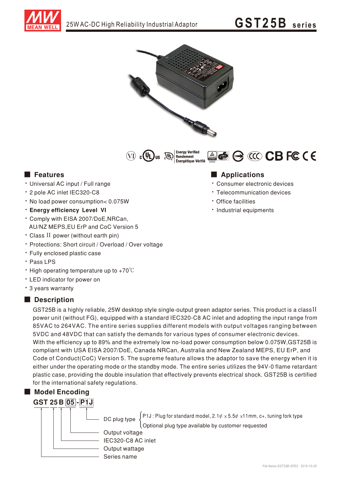

# GST25B series







#### **E** Features

- · Universal AC input / Full range
- \* 2 pole AC inlet IEC320-C8
- . No load power consumption< 0.075W
- **· Enerav efficiency Level VI**
- \* Comply with EISA 2007/DoE, NRCan, AU/NZ MEPS, EU ErP and CoC Version 5
- · Class II power (without earth pin)
- · Protections: Short circuit / Overload / Over voltage
- · Fully enclosed plastic case
- · Pass LPS
- High operating temperature up to  $+70^{\circ}$ C
- LED indicator for power on
- \* 3 years warranty

#### Description

GST25B is a highly reliable, 25W desktop style single-output green adaptor series. This product is a class II power unit (without FG), equipped with a standard IEC320-C8 AC inlet and adopting the input range from 85VAC to 264VAC. The entire series supplies different models with output voltages ranging between 5VDC and 48VDC that can satisfy the demands for various types of consumer electronic devices. With the efficiency up to 89% and the extremely low no-load power consumption below 0.075W, GST25B is compliant with USA EISA 2007/DoE, Canada NRCan, Australia and New Zealand MEPS, EU ErP, and Code of Conduct(CoC) Version 5. The supreme feature allows the adaptor to save the energy when it is either under the operating mode or the standby mode. The entire series utilizes the 94V-0 flame retardant plastic case, providing the double insulation that effectively prevents electrical shock. GST25B is certified for the international safety regulations.

### Model Encodina

### **GST 25 B 05 - P1J**



P1J: Plug for standard model,  $2.1\psi \times 5.5\psi \times 11$ mm, c+, tuning fork type DC plug type Optional plug type available by customer requested Output voltage IEC320-C8 AC inlet

#### **Applications**

- · Consumer electronic devices
- Telecommunication devices
- · Office facilities
- · Industrial equipments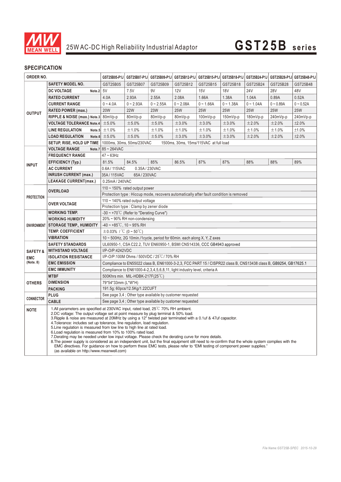

#### **SPECIFICATION**

| ORDER NO.               |                                                                                                                                                                                                                                                                                                                                                                                                                                                                                                                                                                                                                                                                                                                                                                                                                                                                                                                                                                        | GST25B05-P1J                                                                                                     | GST25B07-P1J    |             | GST25B09-P1J GST25B12-P1J GST25B15-P1J GST25B18-P1J GST25B24-P1J GST25B28-P1J GST25B48-P1J |             |             |             |             |             |
|-------------------------|------------------------------------------------------------------------------------------------------------------------------------------------------------------------------------------------------------------------------------------------------------------------------------------------------------------------------------------------------------------------------------------------------------------------------------------------------------------------------------------------------------------------------------------------------------------------------------------------------------------------------------------------------------------------------------------------------------------------------------------------------------------------------------------------------------------------------------------------------------------------------------------------------------------------------------------------------------------------|------------------------------------------------------------------------------------------------------------------|-----------------|-------------|--------------------------------------------------------------------------------------------|-------------|-------------|-------------|-------------|-------------|
|                         | <b>SAFETY MODEL NO.</b>                                                                                                                                                                                                                                                                                                                                                                                                                                                                                                                                                                                                                                                                                                                                                                                                                                                                                                                                                | GST25B05                                                                                                         | GST25B07        | GST25B09    | GST25B12                                                                                   | GST25B15    | GST25B18    | GST25B24    | GST25B28    | GST25B48    |
| <b>OUTPUT</b>           | Note. $2$ 5V<br><b>DC VOLTAGE</b>                                                                                                                                                                                                                                                                                                                                                                                                                                                                                                                                                                                                                                                                                                                                                                                                                                                                                                                                      |                                                                                                                  | 7.5V            | 9V          | 12V                                                                                        | 15V         | <b>18V</b>  | <b>24V</b>  | <b>28V</b>  | 48V         |
|                         | <b>RATED CURRENT</b>                                                                                                                                                                                                                                                                                                                                                                                                                                                                                                                                                                                                                                                                                                                                                                                                                                                                                                                                                   | 4.0A                                                                                                             | 2.93A           | 2.55A       | 2.08A                                                                                      | 1.66A       | 1.38A       | 1.04A       | 0.89A       | 0.52A       |
|                         | <b>CURRENT RANGE</b>                                                                                                                                                                                                                                                                                                                                                                                                                                                                                                                                                                                                                                                                                                                                                                                                                                                                                                                                                   | $0 - 4.0A$                                                                                                       | $0 - 2.93A$     | $0 - 2.55A$ | $0 - 2.08A$                                                                                | $0 - 1.66A$ | $0 - 1.38A$ | $0 - 1.04A$ | $0 - 0.89A$ | $0 - 0.52A$ |
|                         | <b>RATED POWER (max.)</b>                                                                                                                                                                                                                                                                                                                                                                                                                                                                                                                                                                                                                                                                                                                                                                                                                                                                                                                                              | <b>20W</b>                                                                                                       | <b>22W</b>      | 23W         | <b>25W</b>                                                                                 | <b>25W</b>  | <b>25W</b>  | <b>25W</b>  | <b>25W</b>  | <b>25W</b>  |
|                         | RIPPLE & NOISE (max.) Note.3 80mVp-p                                                                                                                                                                                                                                                                                                                                                                                                                                                                                                                                                                                                                                                                                                                                                                                                                                                                                                                                   |                                                                                                                  | 80mVp-p         | 80mVp-p     | 80mVp-p                                                                                    | 100mVp-p    | 150mVp-p    | 180mVp-p    | 240mVp-p    | 240mVp-p    |
|                         | <b>VOLTAGE TOLERANCE Note.4</b>                                                                                                                                                                                                                                                                                                                                                                                                                                                                                                                                                                                                                                                                                                                                                                                                                                                                                                                                        | ±5.0%                                                                                                            | ± 5.0%          | ±5.0%       | ±3.0%                                                                                      | ±3.0%       | ±3.0%       | ±2.0%       | ±2.0%       | ±2.0%       |
|                         | <b>LINE REGULATION</b><br>Note.5                                                                                                                                                                                                                                                                                                                                                                                                                                                                                                                                                                                                                                                                                                                                                                                                                                                                                                                                       | ±1.0%                                                                                                            | ±1.0%           | ±1.0%       | ±1.0%                                                                                      | ±1.0%       | ±1.0%       | ±1.0%       | ±1.0%       | ±1.0%       |
|                         | <b>LOAD REGULATION</b>                                                                                                                                                                                                                                                                                                                                                                                                                                                                                                                                                                                                                                                                                                                                                                                                                                                                                                                                                 | Note.6 $\pm 5.0\%$                                                                                               | ±5.0%           | ±5.0%       | ±3.0%                                                                                      | ±3.0%       | ±3.0%       | ±2.0%       | ±2.0%       | ±2.0%       |
|                         | SETUP, RISE, HOLD UP TIME                                                                                                                                                                                                                                                                                                                                                                                                                                                                                                                                                                                                                                                                                                                                                                                                                                                                                                                                              | 1000ms, 30ms, 50ms/230VAC<br>1500ms, 30ms, 15ms/115VAC at full load                                              |                 |             |                                                                                            |             |             |             |             |             |
| <b>INPUT</b>            | <b>VOLTAGE RANGE</b>                                                                                                                                                                                                                                                                                                                                                                                                                                                                                                                                                                                                                                                                                                                                                                                                                                                                                                                                                   | Note.7 $85 - 264$ VAC                                                                                            |                 |             |                                                                                            |             |             |             |             |             |
|                         | <b>FREQUENCY RANGE</b>                                                                                                                                                                                                                                                                                                                                                                                                                                                                                                                                                                                                                                                                                                                                                                                                                                                                                                                                                 | $47 - 63$ Hz                                                                                                     |                 |             |                                                                                            |             |             |             |             |             |
|                         | EFFICIENCY (Typ.)                                                                                                                                                                                                                                                                                                                                                                                                                                                                                                                                                                                                                                                                                                                                                                                                                                                                                                                                                      | 81.5%                                                                                                            | 84.5%           | 85%         | 86.5%                                                                                      | 87%         | 87%         | 88%         | 88%         | 89%         |
|                         | <b>AC CURRENT</b>                                                                                                                                                                                                                                                                                                                                                                                                                                                                                                                                                                                                                                                                                                                                                                                                                                                                                                                                                      | 0.35A / 230VAC<br>0.6A/115VAC                                                                                    |                 |             |                                                                                            |             |             |             |             |             |
|                         | <b>INRUSH CURRENT (max.)</b>                                                                                                                                                                                                                                                                                                                                                                                                                                                                                                                                                                                                                                                                                                                                                                                                                                                                                                                                           | 35A/115VAC<br>65A/230VAC                                                                                         |                 |             |                                                                                            |             |             |             |             |             |
|                         | <b>LEAKAGE CURRENT(max.)</b>                                                                                                                                                                                                                                                                                                                                                                                                                                                                                                                                                                                                                                                                                                                                                                                                                                                                                                                                           |                                                                                                                  | 0.25mA / 240VAC |             |                                                                                            |             |             |             |             |             |
| <b>PROTECTION</b>       | <b>OVERLOAD</b>                                                                                                                                                                                                                                                                                                                                                                                                                                                                                                                                                                                                                                                                                                                                                                                                                                                                                                                                                        | 110 $\sim$ 150% rated output power                                                                               |                 |             |                                                                                            |             |             |             |             |             |
|                         |                                                                                                                                                                                                                                                                                                                                                                                                                                                                                                                                                                                                                                                                                                                                                                                                                                                                                                                                                                        | Protection type: Hiccup mode, recovers automatically after fault condition is removed                            |                 |             |                                                                                            |             |             |             |             |             |
|                         | <b>OVER VOLTAGE</b>                                                                                                                                                                                                                                                                                                                                                                                                                                                                                                                                                                                                                                                                                                                                                                                                                                                                                                                                                    | 110 $\sim$ 140% rated output voltage                                                                             |                 |             |                                                                                            |             |             |             |             |             |
|                         |                                                                                                                                                                                                                                                                                                                                                                                                                                                                                                                                                                                                                                                                                                                                                                                                                                                                                                                                                                        | Protection type: Clamp by zener diode                                                                            |                 |             |                                                                                            |             |             |             |             |             |
| <b>ENVIRONMENT</b>      | <b>WORKING TEMP.</b>                                                                                                                                                                                                                                                                                                                                                                                                                                                                                                                                                                                                                                                                                                                                                                                                                                                                                                                                                   | $-30 \sim +70^{\circ}$ C (Refer to "Derating Curve")                                                             |                 |             |                                                                                            |             |             |             |             |             |
|                         | <b>WORKING HUMIDITY</b>                                                                                                                                                                                                                                                                                                                                                                                                                                                                                                                                                                                                                                                                                                                                                                                                                                                                                                                                                | 20% ~ 90% RH non-condensing                                                                                      |                 |             |                                                                                            |             |             |             |             |             |
|                         | <b>STORAGE TEMP., HUMIDITY</b>                                                                                                                                                                                                                                                                                                                                                                                                                                                                                                                                                                                                                                                                                                                                                                                                                                                                                                                                         | $-40 \sim +85^{\circ}$ C, 10 ~ 95% RH                                                                            |                 |             |                                                                                            |             |             |             |             |             |
|                         | <b>TEMP. COEFFICIENT</b>                                                                                                                                                                                                                                                                                                                                                                                                                                                                                                                                                                                                                                                                                                                                                                                                                                                                                                                                               | $\pm$ 0.03% / °C (0 ~ 50°C)                                                                                      |                 |             |                                                                                            |             |             |             |             |             |
|                         | VIBRATION                                                                                                                                                                                                                                                                                                                                                                                                                                                                                                                                                                                                                                                                                                                                                                                                                                                                                                                                                              | 10 ~ 500Hz, 2G 10min./1cycle, period for 60min. each along X, Y, Z axes                                          |                 |             |                                                                                            |             |             |             |             |             |
|                         | <b>SAFETY STANDARDS</b><br><b>WITHSTAND VOLTAGE</b>                                                                                                                                                                                                                                                                                                                                                                                                                                                                                                                                                                                                                                                                                                                                                                                                                                                                                                                    | UL60950-1, CSA C22.2, TUV EN60950-1, BSMI CNS14336, CCC GB4943 approved<br>I/P-O/P:4242VDC                       |                 |             |                                                                                            |             |             |             |             |             |
| <b>SAFETY &amp;</b>     | <b>ISOLATION RESISTANCE</b>                                                                                                                                                                                                                                                                                                                                                                                                                                                                                                                                                                                                                                                                                                                                                                                                                                                                                                                                            | I/P-O/P:100M Ohms / 500VDC / 25°C / 70% RH                                                                       |                 |             |                                                                                            |             |             |             |             |             |
| <b>EMC</b><br>(Note. 8) | <b>EMC EMISSION</b>                                                                                                                                                                                                                                                                                                                                                                                                                                                                                                                                                                                                                                                                                                                                                                                                                                                                                                                                                    | Compliance to EN55022 class B, EN61000-3-2,3, FCC PART 15 / CISPR22 class B, CNS13438 class B, GB9254, GB17625.1 |                 |             |                                                                                            |             |             |             |             |             |
|                         | <b>EMC IMMUNITY</b>                                                                                                                                                                                                                                                                                                                                                                                                                                                                                                                                                                                                                                                                                                                                                                                                                                                                                                                                                    | Compliance to EN61000-4-2,3,4,5,6,8,11, light industry level, criteria A                                         |                 |             |                                                                                            |             |             |             |             |             |
|                         | <b>MTBF</b>                                                                                                                                                                                                                                                                                                                                                                                                                                                                                                                                                                                                                                                                                                                                                                                                                                                                                                                                                            | 500Khrs min. MIL-HDBK-217F(25°C)                                                                                 |                 |             |                                                                                            |             |             |             |             |             |
| <b>OTHERS</b>           | <b>DIMENSION</b>                                                                                                                                                                                                                                                                                                                                                                                                                                                                                                                                                                                                                                                                                                                                                                                                                                                                                                                                                       | 79*54*33mm (L*W*H)                                                                                               |                 |             |                                                                                            |             |             |             |             |             |
|                         | <b>PACKING</b>                                                                                                                                                                                                                                                                                                                                                                                                                                                                                                                                                                                                                                                                                                                                                                                                                                                                                                                                                         | 191.5g; 60pcs/12.5Kg/1.22CUFT                                                                                    |                 |             |                                                                                            |             |             |             |             |             |
| <b>CONNECTOR</b>        | <b>PLUG</b>                                                                                                                                                                                                                                                                                                                                                                                                                                                                                                                                                                                                                                                                                                                                                                                                                                                                                                                                                            | See page 3,4 ; Other type available by customer requested                                                        |                 |             |                                                                                            |             |             |             |             |             |
|                         | <b>CABLE</b>                                                                                                                                                                                                                                                                                                                                                                                                                                                                                                                                                                                                                                                                                                                                                                                                                                                                                                                                                           | See page 3.4 ; Other type available by customer requested                                                        |                 |             |                                                                                            |             |             |             |             |             |
| <b>NOTE</b>             | 1.All parameters are specified at 230VAC input, rated load, 25 <sup>°</sup> C 70% RH ambient.<br>2.DC voltage: The output voltage set at point measure by plug terminal & 50% load.<br>3. Ripple & noise are measured at 20MHz by using a 12" twisted pair terminated with a 0.1uf & 47uf capacitor.<br>4. Tolerance: includes set up tolerance, line regulation, load regulation.<br>5. Line regulation is measured from low line to high line at rated load.<br>6. Load regulation is measured from 10% to 100% rated load.<br>7. Derating may be needed under low input voltage. Please check the derating curve for more details.<br>8. The power supply is considered as an independent unit, but the final equipment still need to re-confirm that the whole system complies with the<br>EMC directives. For guidance on how to perform these EMC tests, please refer to "EMI testing of component power supplies."<br>(as available on http://www.meanwell.com) |                                                                                                                  |                 |             |                                                                                            |             |             |             |             |             |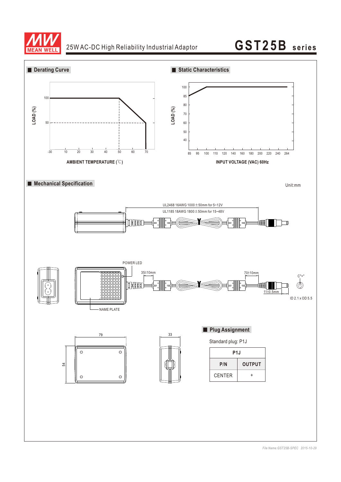

## 25W AC-DC High Reliability Industrial Adaptor **GST25B** series